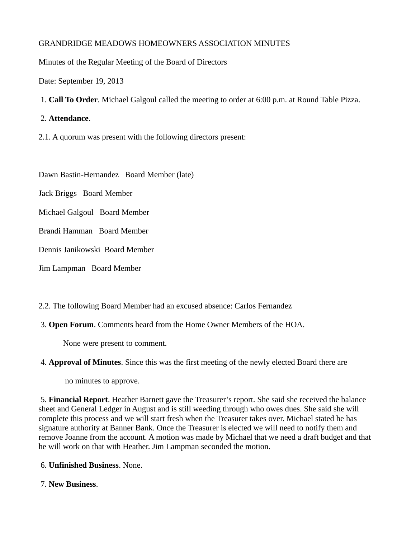## GRANDRIDGE MEADOWS HOMEOWNERS ASSOCIATION MINUTES

Minutes of the Regular Meeting of the Board of Directors

Date: September 19, 2013

1. **Call To Order**. Michael Galgoul called the meeting to order at 6:00 p.m. at Round Table Pizza.

## 2. **Attendance**.

2.1. A quorum was present with the following directors present:

Dawn Bastin-Hernandez Board Member (late)

Jack Briggs Board Member

Michael Galgoul Board Member

Brandi Hamman Board Member

Dennis Janikowski Board Member

Jim Lampman Board Member

2.2. The following Board Member had an excused absence: Carlos Fernandez

3. **Open Forum**. Comments heard from the Home Owner Members of the HOA.

None were present to comment.

## 4. **Approval of Minutes**. Since this was the first meeting of the newly elected Board there are

no minutes to approve.

5. **Financial Report**. Heather Barnett gave the Treasurer's report. She said she received the balance sheet and General Ledger in August and is still weeding through who owes dues. She said she will complete this process and we will start fresh when the Treasurer takes over. Michael stated he has signature authority at Banner Bank. Once the Treasurer is elected we will need to notify them and remove Joanne from the account. A motion was made by Michael that we need a draft budget and that he will work on that with Heather. Jim Lampman seconded the motion.

- 6. **Unfinished Business**. None.
- 7. **New Business**.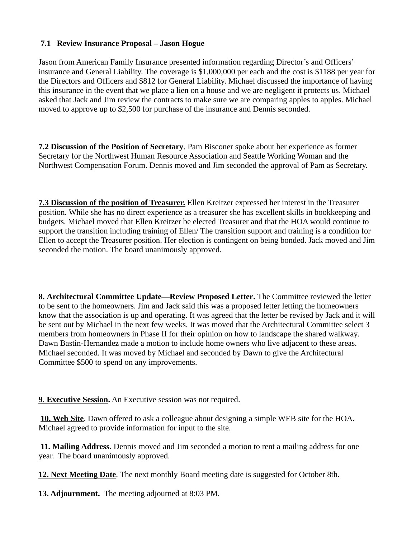## **7.1 Review Insurance Proposal – Jason Hogue**

Jason from American Family Insurance presented information regarding Director's and Officers' insurance and General Liability. The coverage is \$1,000,000 per each and the cost is \$1188 per year for the Directors and Officers and \$812 for General Liability. Michael discussed the importance of having this insurance in the event that we place a lien on a house and we are negligent it protects us. Michael asked that Jack and Jim review the contracts to make sure we are comparing apples to apples. Michael moved to approve up to \$2,500 for purchase of the insurance and Dennis seconded.

**7.2 Discussion of the Position of Secretary**. Pam Bisconer spoke about her experience as former Secretary for the Northwest Human Resource Association and Seattle Working Woman and the Northwest Compensation Forum. Dennis moved and Jim seconded the approval of Pam as Secretary.

**7.3 Discussion of the position of Treasurer.** Ellen Kreitzer expressed her interest in the Treasurer position. While she has no direct experience as a treasurer she has excellent skills in bookkeeping and budgets. Michael moved that Ellen Kreitzer be elected Treasurer and that the HOA would continue to support the transition including training of Ellen/ The transition support and training is a condition for Ellen to accept the Treasurer position. Her election is contingent on being bonded. Jack moved and Jim seconded the motion. The board unanimously approved.

**8. Architectural Committee Update—Review Proposed Letter.** The Committee reviewed the letter to be sent to the homeowners. Jim and Jack said this was a proposed letter letting the homeowners know that the association is up and operating. It was agreed that the letter be revised by Jack and it will be sent out by Michael in the next few weeks. It was moved that the Architectural Committee select 3 members from homeowners in Phase II for their opinion on how to landscape the shared walkway. Dawn Bastin-Hernandez made a motion to include home owners who live adjacent to these areas. Michael seconded. It was moved by Michael and seconded by Dawn to give the Architectural Committee \$500 to spend on any improvements.

**9. Executive Session.** An Executive session was not required.

**10. Web Site**. Dawn offered to ask a colleague about designing a simple WEB site for the HOA. Michael agreed to provide information for input to the site.

**11. Mailing Address.** Dennis moved and Jim seconded a motion to rent a mailing address for one year. The board unanimously approved.

 **12. Next Meeting Date**. The next monthly Board meeting date is suggested for October 8th.

**13. Adjournment.** The meeting adjourned at 8:03 PM.